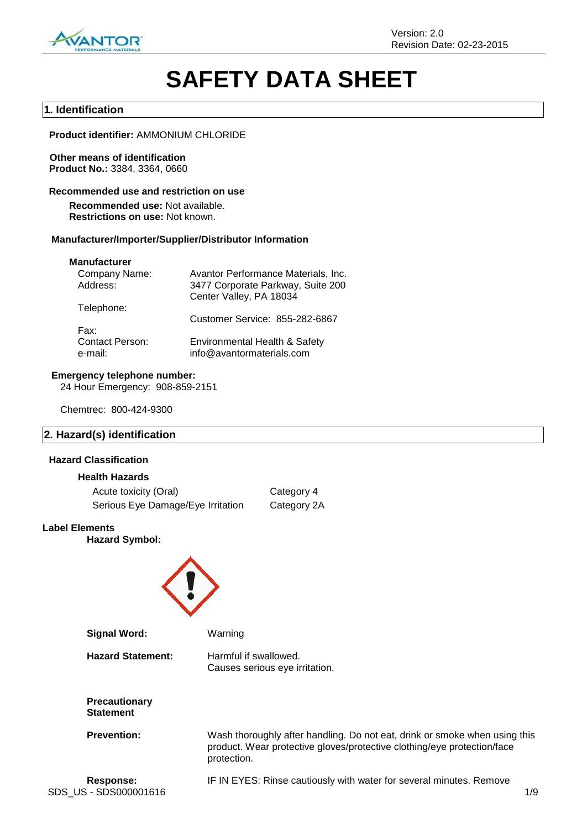

# **SAFETY DATA SHEET**

### **1. Identification**

**Product identifier:** AMMONIUM CHLORIDE

### **Other means of identification Product No.:** 3384, 3364, 0660

### **Recommended use and restriction on use**

**Recommended use:** Not available. **Restrictions on use:** Not known.

### **Manufacturer/Importer/Supplier/Distributor Information**

### **Manufacturer**

| Avantor Performance Materials, Inc.                        |
|------------------------------------------------------------|
| 3477 Corporate Parkway, Suite 200                          |
| Center Valley, PA 18034                                    |
|                                                            |
| Customer Service: 855-282-6867                             |
|                                                            |
| Environmental Health & Safety<br>info@avantormaterials.com |
|                                                            |

### **Emergency telephone number:**

24 Hour Emergency: 908-859-2151

Chemtrec: 800-424-9300

### **2. Hazard(s) identification**

### **Hazard Classification**

### **Health Hazards**

| Acute toxicity (Oral)             | Category 4  |
|-----------------------------------|-------------|
| Serious Eye Damage/Eye Irritation | Category 2A |

### **Label Elements**

**Hazard Symbol:**



| <b>Signal Word:</b>                      | Warning                                                                                                                                                              |
|------------------------------------------|----------------------------------------------------------------------------------------------------------------------------------------------------------------------|
| <b>Hazard Statement:</b>                 | Harmful if swallowed.<br>Causes serious eye irritation.                                                                                                              |
| <b>Precautionary</b><br><b>Statement</b> |                                                                                                                                                                      |
| <b>Prevention:</b>                       | Wash thoroughly after handling. Do not eat, drink or smoke when using this<br>product. Wear protective gloves/protective clothing/eye protection/face<br>protection. |
| Response:                                | IF IN FYFS; Rinse cautiously with water for several minutes. Remove                                                                                                  |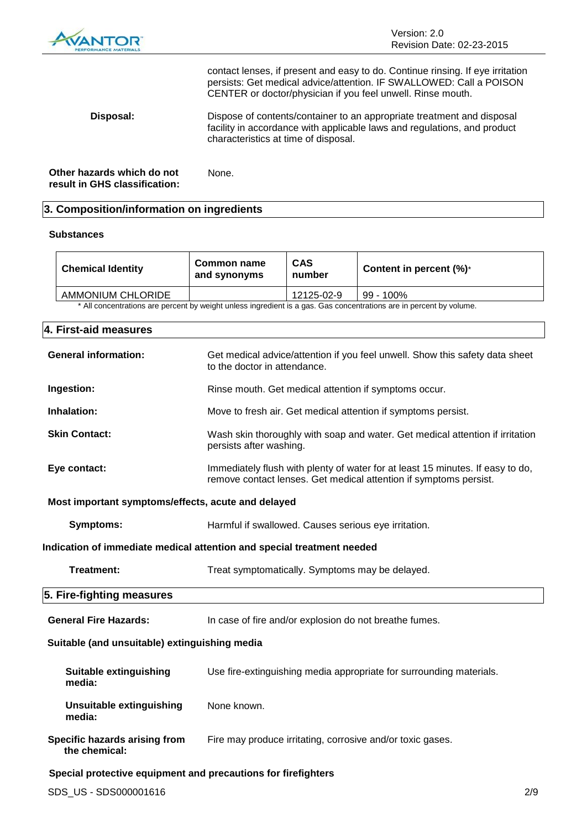

contact lenses, if present and easy to do. Continue rinsing. If eye irritation persists: Get medical advice/attention. IF SWALLOWED: Call a POISON CENTER or doctor/physician if you feel unwell. Rinse mouth.

**Disposal:** Dispose of contents/container to an appropriate treatment and disposal facility in accordance with applicable laws and regulations, and product characteristics at time of disposal.

**Other hazards which do not result in GHS classification:** None.

### **3. Composition/information on ingredients**

### **Substances**

| <b>Chemical Identity</b>                                                                                            | Common name<br>and synonyms | <b>CAS</b><br>number | Content in percent $(\%)^*$ |  |
|---------------------------------------------------------------------------------------------------------------------|-----------------------------|----------------------|-----------------------------|--|
| AMMONIUM CHLORIDE                                                                                                   |                             | 12125-02-9           | $99 - 100\%$                |  |
| * All concentrations are percent by weight unless ingredient is a gas. Gas concentrations are in percent by volume. |                             |                      |                             |  |

### **4. First-aid measures**

| <b>General information:</b>                                            | Get medical advice/attention if you feel unwell. Show this safety data sheet<br>to the doctor in attendance.                                        |  |
|------------------------------------------------------------------------|-----------------------------------------------------------------------------------------------------------------------------------------------------|--|
| Ingestion:                                                             | Rinse mouth. Get medical attention if symptoms occur.                                                                                               |  |
| Inhalation:                                                            | Move to fresh air. Get medical attention if symptoms persist.                                                                                       |  |
| <b>Skin Contact:</b>                                                   | Wash skin thoroughly with soap and water. Get medical attention if irritation<br>persists after washing.                                            |  |
| Eye contact:                                                           | Immediately flush with plenty of water for at least 15 minutes. If easy to do,<br>remove contact lenses. Get medical attention if symptoms persist. |  |
| Most important symptoms/effects, acute and delayed                     |                                                                                                                                                     |  |
| <b>Symptoms:</b>                                                       | Harmful if swallowed. Causes serious eye irritation.                                                                                                |  |
| Indication of immediate medical attention and special treatment needed |                                                                                                                                                     |  |
| Treatment:                                                             | Treat symptomatically. Symptoms may be delayed.                                                                                                     |  |
|                                                                        |                                                                                                                                                     |  |
| 5. Fire-fighting measures                                              |                                                                                                                                                     |  |
| <b>General Fire Hazards:</b>                                           | In case of fire and/or explosion do not breathe fumes.                                                                                              |  |
| Suitable (and unsuitable) extinguishing media                          |                                                                                                                                                     |  |
| Suitable extinguishing<br>media:                                       | Use fire-extinguishing media appropriate for surrounding materials.                                                                                 |  |
| <b>Unsuitable extinguishing</b><br>media:                              | None known.                                                                                                                                         |  |
| Specific hazards arising from<br>the chemical:                         | Fire may produce irritating, corrosive and/or toxic gases.                                                                                          |  |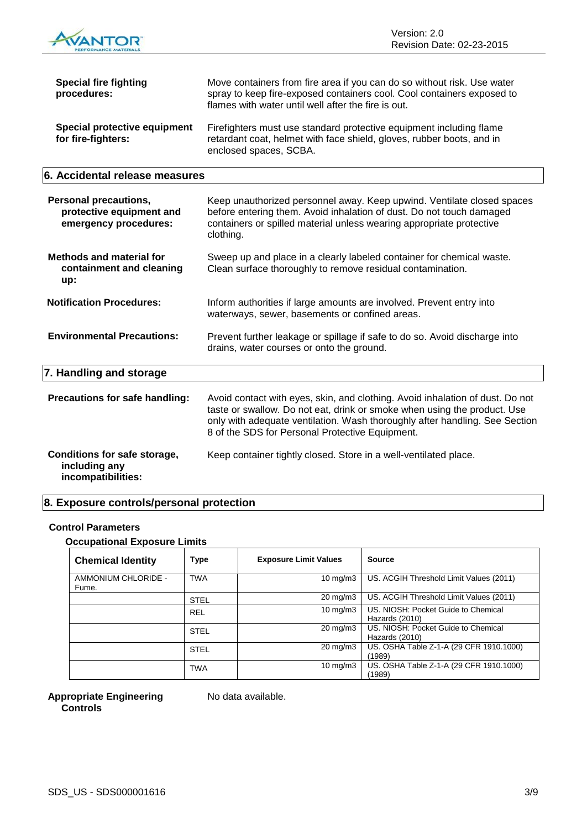

| <b>Special fire fighting</b><br>procedures:                                       | Move containers from fire area if you can do so without risk. Use water<br>spray to keep fire-exposed containers cool. Cool containers exposed to<br>flames with water until well after the fire is out.                                                                                    |
|-----------------------------------------------------------------------------------|---------------------------------------------------------------------------------------------------------------------------------------------------------------------------------------------------------------------------------------------------------------------------------------------|
| <b>Special protective equipment</b><br>for fire-fighters:                         | Firefighters must use standard protective equipment including flame<br>retardant coat, helmet with face shield, gloves, rubber boots, and in<br>enclosed spaces, SCBA.                                                                                                                      |
| 6. Accidental release measures                                                    |                                                                                                                                                                                                                                                                                             |
| <b>Personal precautions,</b><br>protective equipment and<br>emergency procedures: | Keep unauthorized personnel away. Keep upwind. Ventilate closed spaces<br>before entering them. Avoid inhalation of dust. Do not touch damaged<br>containers or spilled material unless wearing appropriate protective<br>clothing.                                                         |
| <b>Methods and material for</b><br>containment and cleaning<br>up:                | Sweep up and place in a clearly labeled container for chemical waste.<br>Clean surface thoroughly to remove residual contamination.                                                                                                                                                         |
| <b>Notification Procedures:</b>                                                   | Inform authorities if large amounts are involved. Prevent entry into<br>waterways, sewer, basements or confined areas.                                                                                                                                                                      |
| <b>Environmental Precautions:</b>                                                 | Prevent further leakage or spillage if safe to do so. Avoid discharge into<br>drains, water courses or onto the ground.                                                                                                                                                                     |
| 7. Handling and storage                                                           |                                                                                                                                                                                                                                                                                             |
| Precautions for safe handling:                                                    | Avoid contact with eyes, skin, and clothing. Avoid inhalation of dust. Do not<br>taste or swallow. Do not eat, drink or smoke when using the product. Use<br>only with adequate ventilation. Wash thoroughly after handling. See Section<br>8 of the SDS for Personal Protective Equipment. |
| Conditions for safe storage,<br>including any<br>incompatibilities:               | Keep container tightly closed. Store in a well-ventilated place.                                                                                                                                                                                                                            |

## **8. Exposure controls/personal protection**

### **Control Parameters**

**Occupational Exposure Limits**

| <b>Chemical Identity</b>     | <b>Type</b> | <b>Exposure Limit Values</b> | <b>Source</b>                                         |
|------------------------------|-------------|------------------------------|-------------------------------------------------------|
| AMMONIUM CHLORIDE -<br>Fume. | <b>TWA</b>  | $10 \text{ mg/m}$            | US. ACGIH Threshold Limit Values (2011)               |
|                              | <b>STEL</b> | $20 \text{ mg/m}$ 3          | US. ACGIH Threshold Limit Values (2011)               |
|                              | <b>REL</b>  | 10 mg/m $3$                  | US. NIOSH: Pocket Guide to Chemical<br>Hazards (2010) |
|                              | <b>STEL</b> | $20 \text{ mg/m}$ 3          | US. NIOSH: Pocket Guide to Chemical<br>Hazards (2010) |
|                              | <b>STEL</b> | $20 \text{ mg/m}$ 3          | US. OSHA Table Z-1-A (29 CFR 1910.1000)<br>(1989)     |
|                              | <b>TWA</b>  | $10 \text{ mg/m}$            | US. OSHA Table Z-1-A (29 CFR 1910.1000)<br>(1989)     |

### **Appropriate Engineering Controls**

No data available.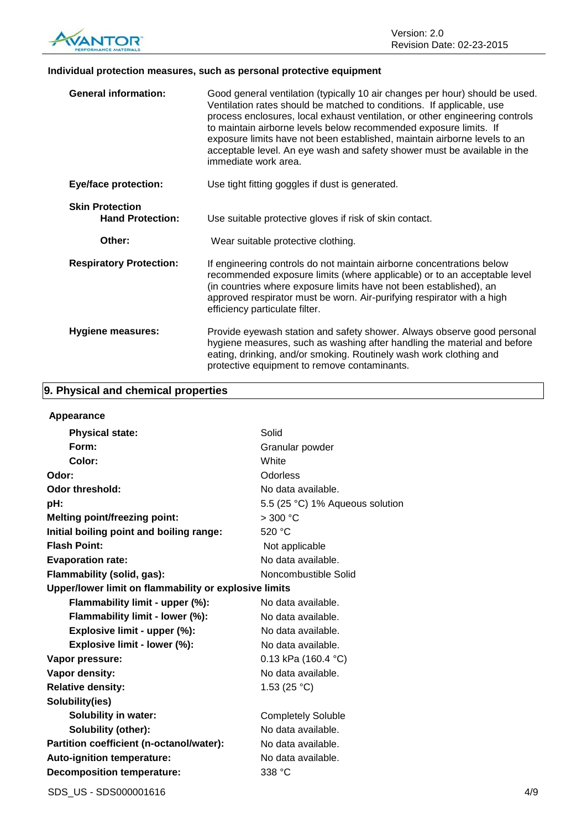

### **Individual protection measures, such as personal protective equipment**

| <b>General information:</b>                       | Good general ventilation (typically 10 air changes per hour) should be used.<br>Ventilation rates should be matched to conditions. If applicable, use<br>process enclosures, local exhaust ventilation, or other engineering controls<br>to maintain airborne levels below recommended exposure limits. If<br>exposure limits have not been established, maintain airborne levels to an<br>acceptable level. An eye wash and safety shower must be available in the<br>immediate work area. |
|---------------------------------------------------|---------------------------------------------------------------------------------------------------------------------------------------------------------------------------------------------------------------------------------------------------------------------------------------------------------------------------------------------------------------------------------------------------------------------------------------------------------------------------------------------|
| <b>Eye/face protection:</b>                       | Use tight fitting goggles if dust is generated.                                                                                                                                                                                                                                                                                                                                                                                                                                             |
| <b>Skin Protection</b><br><b>Hand Protection:</b> | Use suitable protective gloves if risk of skin contact.                                                                                                                                                                                                                                                                                                                                                                                                                                     |
| Other:                                            | Wear suitable protective clothing.                                                                                                                                                                                                                                                                                                                                                                                                                                                          |
| <b>Respiratory Protection:</b>                    | If engineering controls do not maintain airborne concentrations below<br>recommended exposure limits (where applicable) or to an acceptable level<br>(in countries where exposure limits have not been established), an<br>approved respirator must be worn. Air-purifying respirator with a high<br>efficiency particulate filter.                                                                                                                                                         |
| Hygiene measures:                                 | Provide eyewash station and safety shower. Always observe good personal<br>hygiene measures, such as washing after handling the material and before<br>eating, drinking, and/or smoking. Routinely wash work clothing and<br>protective equipment to remove contaminants.                                                                                                                                                                                                                   |

### **9. Physical and chemical properties**

| Appearance                                            |                                 |
|-------------------------------------------------------|---------------------------------|
| <b>Physical state:</b>                                | Solid                           |
| Form:                                                 | Granular powder                 |
| Color:                                                | White                           |
| Odor:                                                 | Odorless                        |
| Odor threshold:                                       | No data available.              |
| pH:                                                   | 5.5 (25 °C) 1% Aqueous solution |
| <b>Melting point/freezing point:</b>                  | $>300$ °C                       |
| Initial boiling point and boiling range:              | 520 °C                          |
| <b>Flash Point:</b>                                   | Not applicable                  |
| <b>Evaporation rate:</b>                              | No data available.              |
| Flammability (solid, gas):                            | Noncombustible Solid            |
| Upper/lower limit on flammability or explosive limits |                                 |
| Flammability limit - upper (%):                       | No data available.              |
| Flammability limit - lower (%):                       | No data available.              |
| Explosive limit - upper (%):                          | No data available.              |
| Explosive limit - lower (%):                          | No data available.              |
| Vapor pressure:                                       | 0.13 kPa (160.4 °C)             |
| Vapor density:                                        | No data available.              |
| <b>Relative density:</b>                              | 1.53 $(25 °C)$                  |
| Solubility(ies)                                       |                                 |
| <b>Solubility in water:</b>                           | <b>Completely Soluble</b>       |
| Solubility (other):                                   | No data available.              |
| Partition coefficient (n-octanol/water):              | No data available.              |
| Auto-ignition temperature:                            | No data available.              |
| <b>Decomposition temperature:</b>                     | 338 °C                          |
|                                                       |                                 |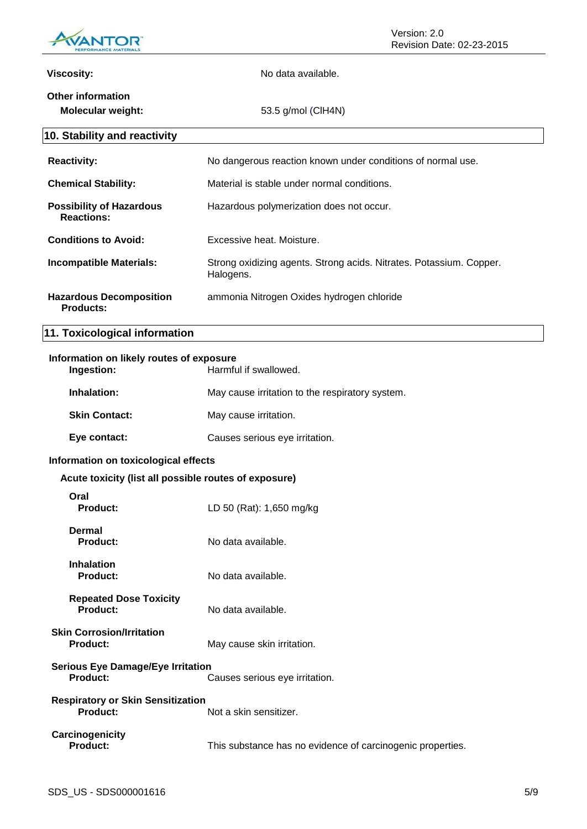

| <b>Viscosity:</b>                                           | No data available.                                                               |
|-------------------------------------------------------------|----------------------------------------------------------------------------------|
| <b>Other information</b><br><b>Molecular weight:</b>        | 53.5 g/mol (CIH4N)                                                               |
| 10. Stability and reactivity                                |                                                                                  |
| <b>Reactivity:</b>                                          | No dangerous reaction known under conditions of normal use.                      |
| <b>Chemical Stability:</b>                                  | Material is stable under normal conditions.                                      |
| <b>Possibility of Hazardous</b><br><b>Reactions:</b>        | Hazardous polymerization does not occur.                                         |
| <b>Conditions to Avoid:</b>                                 | Excessive heat. Moisture.                                                        |
| <b>Incompatible Materials:</b>                              | Strong oxidizing agents. Strong acids. Nitrates. Potassium. Copper.<br>Halogens. |
| <b>Hazardous Decomposition</b><br><b>Products:</b>          | ammonia Nitrogen Oxides hydrogen chloride                                        |
| 11. Toxicological information                               |                                                                                  |
| Information on likely routes of exposure<br>Ingestion:      | Harmful if swallowed.                                                            |
| Inhalation:                                                 | May cause irritation to the respiratory system.                                  |
| <b>Skin Contact:</b>                                        | May cause irritation.                                                            |
| Eye contact:                                                | Causes serious eye irritation.                                                   |
| Information on toxicological effects                        |                                                                                  |
| Acute toxicity (list all possible routes of exposure)       |                                                                                  |
| Oral<br><b>Product:</b>                                     | LD 50 (Rat): 1,650 mg/kg                                                         |
| <b>Dermal</b><br><b>Product:</b>                            | No data available.                                                               |
| Inhalation<br><b>Product:</b>                               | No data available.                                                               |
| <b>Repeated Dose Toxicity</b><br><b>Product:</b>            | No data available.                                                               |
| <b>Skin Corrosion/Irritation</b><br><b>Product:</b>         | May cause skin irritation.                                                       |
| <b>Serious Eye Damage/Eye Irritation</b><br>Product:        | Causes serious eye irritation.                                                   |
| <b>Respiratory or Skin Sensitization</b><br><b>Product:</b> | Not a skin sensitizer.                                                           |
| Carcinogenicity<br>Product:                                 | This substance has no evidence of carcinogenic properties.                       |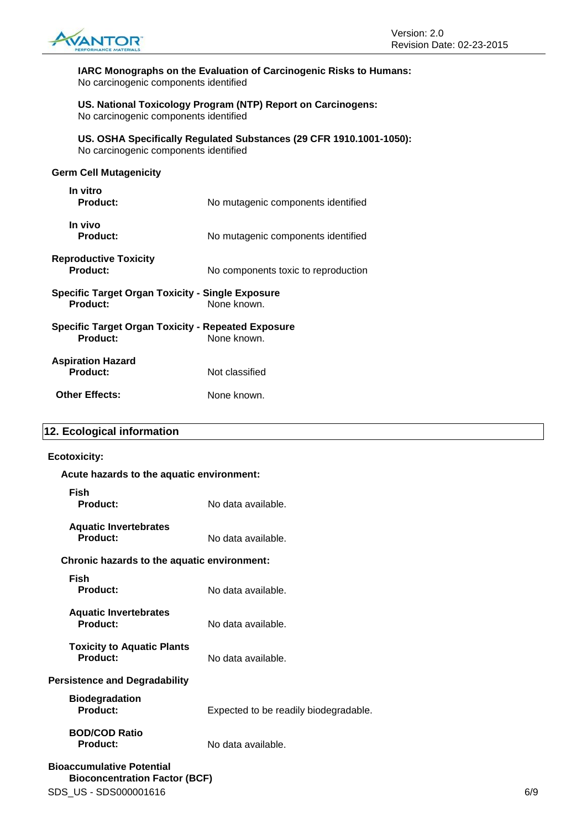

**IARC Monographs on the Evaluation of Carcinogenic Risks to Humans:** No carcinogenic components identified

**US. National Toxicology Program (NTP) Report on Carcinogens:** No carcinogenic components identified

**US. OSHA Specifically Regulated Substances (29 CFR 1910.1001-1050):** No carcinogenic components identified

### **Germ Cell Mutagenicity**

| In vitro<br>Product:                                                  | No mutagenic components identified  |
|-----------------------------------------------------------------------|-------------------------------------|
| In vivo<br><b>Product:</b>                                            | No mutagenic components identified  |
| <b>Reproductive Toxicity</b><br>Product:                              | No components toxic to reproduction |
| <b>Specific Target Organ Toxicity - Single Exposure</b><br>Product:   | None known.                         |
| <b>Specific Target Organ Toxicity - Repeated Exposure</b><br>Product: | None known.                         |
| <b>Aspiration Hazard</b><br>Product:                                  | Not classified                      |
| <b>Other Effects:</b>                                                 | None known.                         |
|                                                                       |                                     |

### **12. Ecological information**

### **Ecotoxicity:**

| Acute hazards to the aquatic environment:       |                                       |     |
|-------------------------------------------------|---------------------------------------|-----|
| <b>Fish</b><br>Product:                         | No data available.                    |     |
| <b>Aquatic Invertebrates</b><br><b>Product:</b> | No data available.                    |     |
| Chronic hazards to the aquatic environment:     |                                       |     |
| <b>Fish</b><br><b>Product:</b>                  | No data available.                    |     |
| <b>Aquatic Invertebrates</b><br><b>Product:</b> | No data available.                    |     |
| <b>Toxicity to Aquatic Plants</b><br>Product:   | No data available.                    |     |
| <b>Persistence and Degradability</b>            |                                       |     |
| <b>Biodegradation</b><br>Product:               | Expected to be readily biodegradable. |     |
| <b>BOD/COD Ratio</b><br><b>Product:</b>         | No data available.                    |     |
| <b>Bioaccumulative Potential</b>                |                                       |     |
| <b>Bioconcentration Factor (BCF)</b>            |                                       |     |
| SDS_US - SDS000001616                           |                                       | 6/9 |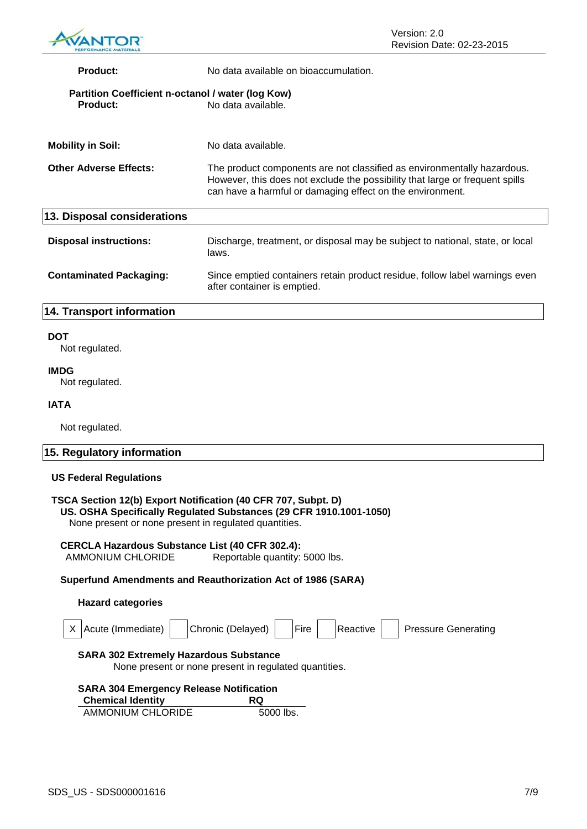

| <b>Product:</b>                                                                                                                         | No data available on bioaccumulation.                                                                                                                                                                                |  |
|-----------------------------------------------------------------------------------------------------------------------------------------|----------------------------------------------------------------------------------------------------------------------------------------------------------------------------------------------------------------------|--|
| Partition Coefficient n-octanol / water (log Kow)<br>Product:                                                                           | No data available.                                                                                                                                                                                                   |  |
| <b>Mobility in Soil:</b>                                                                                                                | No data available.                                                                                                                                                                                                   |  |
| <b>Other Adverse Effects:</b>                                                                                                           | The product components are not classified as environmentally hazardous.<br>However, this does not exclude the possibility that large or frequent spills<br>can have a harmful or damaging effect on the environment. |  |
| 13. Disposal considerations                                                                                                             |                                                                                                                                                                                                                      |  |
| <b>Disposal instructions:</b>                                                                                                           | Discharge, treatment, or disposal may be subject to national, state, or local<br>laws.                                                                                                                               |  |
| <b>Contaminated Packaging:</b>                                                                                                          | Since emptied containers retain product residue, follow label warnings even<br>after container is emptied.                                                                                                           |  |
| 14. Transport information                                                                                                               |                                                                                                                                                                                                                      |  |
| <b>DOT</b><br>Not regulated.                                                                                                            |                                                                                                                                                                                                                      |  |
| <b>IMDG</b><br>Not regulated.                                                                                                           |                                                                                                                                                                                                                      |  |
| <b>IATA</b>                                                                                                                             |                                                                                                                                                                                                                      |  |
| Not regulated.                                                                                                                          |                                                                                                                                                                                                                      |  |
| 15. Regulatory information                                                                                                              |                                                                                                                                                                                                                      |  |
| <b>US Federal Regulations</b><br>$TCAA$ $C_{\text{add}}$ $AOL$ ) $C_{\text{model}}$ blattication (40 $CED$ 707 $C_{\text{model}}$ $D$ ) |                                                                                                                                                                                                                      |  |

### **TSCA Section 12(b) Export Notification (40 CFR 707, Subpt. D) US. OSHA Specifically Regulated Substances (29 CFR 1910.1001-1050)**

None present or none present in regulated quantities.

### **CERCLA Hazardous Substance List (40 CFR 302.4):** Reportable quantity: 5000 lbs.

**Superfund Amendments and Reauthorization Act of 1986 (SARA)**

### **Hazard categories**

| Acute (Immediate)                                                                                      | Chronic (Delayed)<br><b>IFire</b> | <b>Pressure Generating</b><br>Reactive |  |
|--------------------------------------------------------------------------------------------------------|-----------------------------------|----------------------------------------|--|
| <b>SARA 302 Extremely Hazardous Substance</b><br>None present or none present in regulated quantities. |                                   |                                        |  |
| <b>SARA 304 Emergency Release Notification</b>                                                         |                                   |                                        |  |
| <b>Chemical Identity</b>                                                                               | RQ                                |                                        |  |
| AMMONIUM CHLORIDE                                                                                      | 5000 lbs.                         |                                        |  |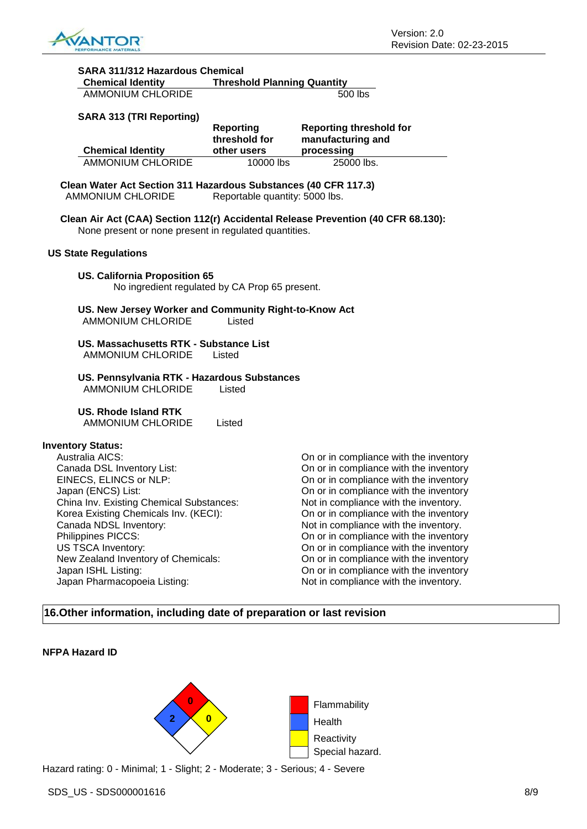

| SARA 311/312 Hazardous Chemical                                                                                                                                                                                                                                                             |                                    |                                                                                                                                                                                                                                                                                                                                                                                      |
|---------------------------------------------------------------------------------------------------------------------------------------------------------------------------------------------------------------------------------------------------------------------------------------------|------------------------------------|--------------------------------------------------------------------------------------------------------------------------------------------------------------------------------------------------------------------------------------------------------------------------------------------------------------------------------------------------------------------------------------|
| <b>Chemical Identity</b><br><b>AMMONIUM CHLORIDE</b>                                                                                                                                                                                                                                        | <b>Threshold Planning Quantity</b> | 500 lbs                                                                                                                                                                                                                                                                                                                                                                              |
| <b>SARA 313 (TRI Reporting)</b>                                                                                                                                                                                                                                                             |                                    |                                                                                                                                                                                                                                                                                                                                                                                      |
|                                                                                                                                                                                                                                                                                             | <b>Reporting</b><br>threshold for  | <b>Reporting threshold for</b><br>manufacturing and                                                                                                                                                                                                                                                                                                                                  |
| <b>Chemical Identity</b>                                                                                                                                                                                                                                                                    | other users                        | processing                                                                                                                                                                                                                                                                                                                                                                           |
| <b>AMMONIUM CHLORIDE</b>                                                                                                                                                                                                                                                                    | 10000 lbs                          | 25000 lbs.                                                                                                                                                                                                                                                                                                                                                                           |
| Clean Water Act Section 311 Hazardous Substances (40 CFR 117.3)<br><b>AMMONIUM CHLORIDE</b>                                                                                                                                                                                                 | Reportable quantity: 5000 lbs.     |                                                                                                                                                                                                                                                                                                                                                                                      |
| None present or none present in regulated quantities.                                                                                                                                                                                                                                       |                                    | Clean Air Act (CAA) Section 112(r) Accidental Release Prevention (40 CFR 68.130):                                                                                                                                                                                                                                                                                                    |
| <b>US State Regulations</b>                                                                                                                                                                                                                                                                 |                                    |                                                                                                                                                                                                                                                                                                                                                                                      |
| <b>US. California Proposition 65</b><br>No ingredient regulated by CA Prop 65 present.                                                                                                                                                                                                      |                                    |                                                                                                                                                                                                                                                                                                                                                                                      |
| US. New Jersey Worker and Community Right-to-Know Act<br><b>AMMONIUM CHLORIDE</b>                                                                                                                                                                                                           | Listed                             |                                                                                                                                                                                                                                                                                                                                                                                      |
| US. Massachusetts RTK - Substance List<br>AMMONIUM CHLORIDE                                                                                                                                                                                                                                 | Listed                             |                                                                                                                                                                                                                                                                                                                                                                                      |
| US. Pennsylvania RTK - Hazardous Substances<br><b>AMMONIUM CHLORIDE</b>                                                                                                                                                                                                                     | Listed                             |                                                                                                                                                                                                                                                                                                                                                                                      |
| US. Rhode Island RTK<br><b>AMMONIUM CHLORIDE</b>                                                                                                                                                                                                                                            | Listed                             |                                                                                                                                                                                                                                                                                                                                                                                      |
| <b>Inventory Status:</b><br>Australia AICS:<br>Canada DSL Inventory List:<br>EINECS, ELINCS or NLP:<br>Japan (ENCS) List:<br>China Inv. Existing Chemical Substances:<br>Korea Existing Chemicals Inv. (KECI):<br>Canada NDSL Inventory:<br>Philippines PICCS:<br><b>US TSCA Inventory:</b> |                                    | On or in compliance with the inventory<br>On or in compliance with the inventory<br>On or in compliance with the inventory<br>On or in compliance with the inventory<br>Not in compliance with the inventory.<br>On or in compliance with the inventory<br>Not in compliance with the inventory.<br>On or in compliance with the inventory<br>On or in compliance with the inventory |

**16.Other information, including date of preparation or last revision**

### **NFPA Hazard ID**



New Zealand Inventory of Chemicals: **On or in compliance with the inventory** Japan ISHL Listing:<br>
Japan Pharmacopoeia Listing:<br>
On or in compliance with the inventory.<br>
Not in compliance with the inventory.

Not in compliance with the inventory.

Hazard rating: 0 - Minimal; 1 - Slight; 2 - Moderate; 3 - Serious; 4 - Severe